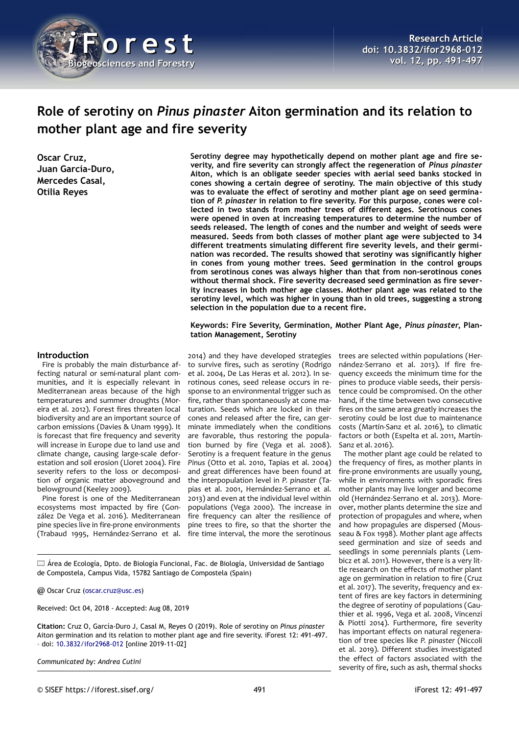

# **Role of serotiny on** *Pinus pinaster* **Aiton germination and its relation to mother plant age and fire severity**

**Oscar Cruz, Juan García-Duro, Mercedes Casal, Otilia Reyes**

**Serotiny degree may hypothetically depend on mother plant age and fire severity, and fire severity can strongly affect the regeneration of** *Pinus pinaster* **Aiton, which is an obligate seeder species with aerial seed banks stocked in cones showing a certain degree of serotiny. The main objective of this study was to evaluate the effect of serotiny and mother plant age on seed germination of** *P. pinaster* **in relation to fire severity. For this purpose, cones were collected in two stands from mother trees of different ages. Serotinous cones were opened in oven at increasing temperatures to determine the number of seeds released. The length of cones and the number and weight of seeds were measured. Seeds from both classes of mother plant age were subjected to 34 different treatments simulating different fire severity levels, and their germination was recorded. The results showed that serotiny was significantly higher in cones from young mother trees. Seed germination in the control groups from serotinous cones was always higher than that from non-serotinous cones without thermal shock. Fire severity decreased seed germination as fire severity increases in both mother age classes. Mother plant age was related to the serotiny level, which was higher in young than in old trees, suggesting a strong selection in the population due to a recent fire.**

**Keywords: Fire Severity, Germination, Mother Plant Age,** *Pinus pinaster***, Plantation Management, Serotiny**

#### **Introduction**

Fire is probably the main disturbance affecting natural or semi-natural plant communities, and it is especially relevant in Mediterranean areas because of the high temperatures and summer droughts (Moreira et al. 2012). Forest fires threaten local biodiversity and are an important source of carbon emissions (Davies & Unam 1999). It is forecast that fire frequency and severity will increase in Europe due to land use and climate change, causing large-scale deforestation and soil erosion (Lloret 2004). Fire severity refers to the loss or decomposition of organic matter aboveground and belowground (Keeley 2009).

Pine forest is one of the Mediterranean ecosystems most impacted by fire (González De Vega et al. 2016). Mediterranean pine species live in fire-prone environments (Trabaud 1995, Hernández-Serrano et al.

2014) and they have developed strategies to survive fires, such as serotiny (Rodrigo et al. 2004, De Las Heras et al. 2012). In serotinous cones, seed release occurs in response to an environmental trigger such as fire, rather than spontaneously at cone maturation. Seeds which are locked in their cones and released after the fire, can germinate immediately when the conditions are favorable, thus restoring the population burned by fire (Vega et al. 2008). Serotiny is a frequent feature in the genus *Pinus* (Otto et al. 2010, Tapias et al. 2004) and great differences have been found at the interpopulation level in *P. pinaster* (Tapias et al. 2001, Hernández-Serrano et al. 2013) and even at the individual level within populations (Vega 2000). The increase in fire frequency can alter the resilience of pine trees to fire, so that the shorter the fire time interval, the more the serotinous

trees are selected within populations (Hernández-Serrano et al. 2013). If fire frequency exceeds the minimum time for the pines to produce viable seeds, their persistence could be compromised. On the other hand, if the time between two consecutive fires on the same area greatly increases the serotiny could be lost due to maintenance costs (Martín-Sanz et al. 2016), to climatic factors or both (Espelta et al. 2011, Martín-Sanz et al. 2016).

The mother plant age could be related to the frequency of fires, as mother plants in fire-prone environments are usually young, while in environments with sporadic fires mother plants may live longer and become old (Hernández-Serrano et al. 2013). Moreover, mother plants determine the size and protection of propagules and where, when and how propagules are dispersed (Mousseau & Fox 1998). Mother plant age affects seed germination and size of seeds and seedlings in some perennials plants (Lembicz et al. 2011). However, there is a very little research on the effects of mother plant age on germination in relation to fire (Cruz et al. 2017). The severity, frequency and extent of fires are key factors in determining the degree of serotiny of populations (Gauthier et al. 1996, Vega et al. 2008, Vincenzi & Piotti 2014). Furthermore, fire severity has important effects on natural regeneration of tree species like *P. pinaster* (Niccoli et al. 2019). Different studies investigated the effect of factors associated with the severity of fire, such as ash, thermal shocks

Área de Ecología, Dpto. de Biología Funcional, Fac. de Biología, Universidad de Santiago de Compostela, Campus Vida, 15782 Santiago de Compostela (Spain)

@ Oscar Cruz [\(oscar.cruz@usc.es\)](mailto:oscar.cruz@usc.es)

Received: Oct 04, 2018 - Accepted: Aug 08, 2019

**Citation:** Cruz O, García-Duro J, Casal M, Reyes O (2019). Role of serotiny on *Pinus pinaster* Aiton germination and its relation to mother plant age and fire severity. iForest 12: 491-497. – doi: [10.3832/ifor2968-012](http://www.sisef.it/iforest/contents/?id=ifor2968-012) [online 2019-11-02]

*Communicated by: Andrea Cutini*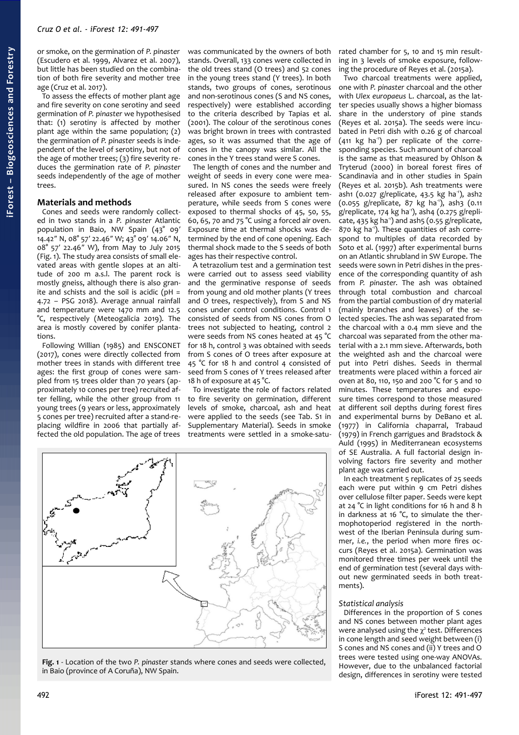or smoke, on the germination of *P. pinaster* (Escudero et al. 1999, Alvarez et al. 2007), but little has been studied on the combination of both fire severity and mother tree age (Cruz et al. 2017).

To assess the effects of mother plant age and fire severity on cone serotiny and seed germination of *P. pinaster* we hypothesised that: (1) serotiny is affected by mother plant age within the same population; (2) the germination of *P. pinaster* seeds is independent of the level of serotiny, but not of the age of mother trees; (3) fire severity reduces the germination rate of *P. pinaster* seeds independently of the age of mother trees.

## **Materials and methods**

Cones and seeds were randomly collected in two stands in a *P. pinaster* Atlantic population in Baio, NW Spain (43° 09′ 14.42″ N, 08° 57′ 22.46″ W; 43° 09′ 14.06″ N, 08° 57′ 22.46″ W), from May to July 2015 [\(Fig. 1\)](#page-1-0). The study area consists of small elevated areas with gentle slopes at an altitude of 200 m a.s.l. The parent rock is mostly gneiss, although there is also granite and schists and the soil is acidic ( $pH =$ 4.72 – PSG 2018). Average annual rainfall and temperature were 1470 mm and 12.5 °C, respectively (Meteogalicia 2019). The area is mostly covered by conifer plantations.

Following Willian (1985) and ENSCONET (2017), cones were directly collected from mother trees in stands with different tree ages: the first group of cones were sampled from 15 trees older than 70 years (approximately 10 cones per tree) recruited after felling, while the other group from 11 young trees (9 years or less, approximately 5 cones per tree) recruited after a stand-replacing wildfire in 2006 that partially affected the old population. The age of trees

was communicated by the owners of both stands. Overall, 133 cones were collected in the old trees stand (O trees) and 52 cones in the young trees stand (Y trees). In both stands, two groups of cones, serotinous and non-serotinous cones (S and NS cones, respectively) were established according to the criteria described by Tapias et al. (2001). The colour of the serotinous cones was bright brown in trees with contrasted ages, so it was assumed that the age of cones in the canopy was similar. All the cones in the Y trees stand were S cones.

The length of cones and the number and weight of seeds in every cone were measured. In NS cones the seeds were freely released after exposure to ambient temperature, while seeds from S cones were exposed to thermal shocks of 45, 50, 55, 60, 65, 70 and 75 °C using a forced air oven. Exposure time at thermal shocks was determined by the end of cone opening. Each thermal shock made to the S seeds of both ages has their respective control.

A tetrazolium test and a germination test were carried out to assess seed viability and the germinative response of seeds from young and old mother plants (Y trees and O trees, respectively), from S and NS cones under control conditions. Control 1 consisted of seeds from NS cones from O trees not subjected to heating, control 2 were seeds from NS cones heated at 45 °C for 18 h, control 3 was obtained with seeds from S cones of O trees after exposure at 45 °C for 18 h and control 4 consisted of seed from S cones of Y trees released after 18 h of exposure at 45 °C.

To investigate the role of factors related to fire severity on germination, different levels of smoke, charcoal, ash and heat were applied to the seeds (see Tab. S1 in Supplementary Material). Seeds in smoke treatments were settled in a smoke-satu-

rated chamber for 5, 10 and 15 min resulting in 3 levels of smoke exposure, following the procedure of Reyes et al. (2015a).

Two charcoal treatments were applied, one with *P. pinaster* charcoal and the other with *Ulex europaeus* L. charcoal, as the latter species usually shows a higher biomass share in the understory of pine stands (Reyes et al. 2015a). The seeds were incubated in Petri dish with 0.26 g of charcoal  $(411 \text{ kg } ha^{-1})$  per replicate of the corresponding species. Such amount of charcoal is the same as that measured by Ohlson & Tryterud (2000) in boreal forest fires of Scandinavia and in other studies in Spain (Reyes et al. 2015b). Ash treatments were ash1 (0.027 g/replicate, 43.5 kg ha<sup>-1</sup>), ash2  $(0.055 \, \text{g/replicate}, 87 \, \text{kg} \, \text{ha}^{\text{-1}}), \text{ash}3 \, (0.11$ g/replicate, 174 kg ha<sup>1</sup>), ash4 (0.275 g/replicate, 435 kg ha<sup>-1</sup>) and ash5 (0.55 g/replicate, 870 kg ha<sup>-1</sup>). These quantities of ash correspond to multiples of data recorded by Soto et al. (1997) after experimental burns on an Atlantic shrubland in SW Europe. The seeds were sown in Petri dishes in the presence of the corresponding quantity of ash from *P. pinaster*. The ash was obtained through total combustion and charcoal from the partial combustion of dry material (mainly branches and leaves) of the selected species. The ash was separated from the charcoal with a 0.4 mm sieve and the charcoal was separated from the other material with a 2.1 mm sieve. Afterwards, both the weighted ash and the charcoal were put into Petri dishes. Seeds in thermal treatments were placed within a forced air oven at 80, 110, 150 and 200 °C for 5 and 10 minutes. These temperatures and exposure times correspond to those measured at different soil depths during forest fires and experimental burns by DeBano et al. (1977) in California chaparral, Trabaud (1979) in French garrigues and Bradstock & Auld (1995) in Mediterranean ecosystems of SE Australia. A full factorial design involving factors fire severity and mother plant age was carried out.

In each treatment 5 replicates of 25 seeds each were put within 9 cm Petri dishes over cellulose filter paper. Seeds were kept at 24 °C in light conditions for 16 h and 8 h in darkness at 16 °C, to simulate the thermophotoperiod registered in the northwest of the Iberian Peninsula during summer, *i.e.*, the period when more fires occurs (Reyes et al. 2015a). Germination was monitored three times per week until the end of germination test (several days without new germinated seeds in both treatments).

#### *Statistical analysis*

Differences in the proportion of S cones and NS cones between mother plant ages were analysed using the  $\chi^2$  test. Differences in cone length and seed weight between (i) S cones and NS cones and (ii) Y trees and O trees were tested using one-way ANOVAs. However, due to the unbalanced factorial design, differences in serotiny were tested

<span id="page-1-0"></span>**Fig. 1** - Location of the two *P. pinaster* stands where cones and seeds were collected, in Baio (province of A Coruña), NW Spain.

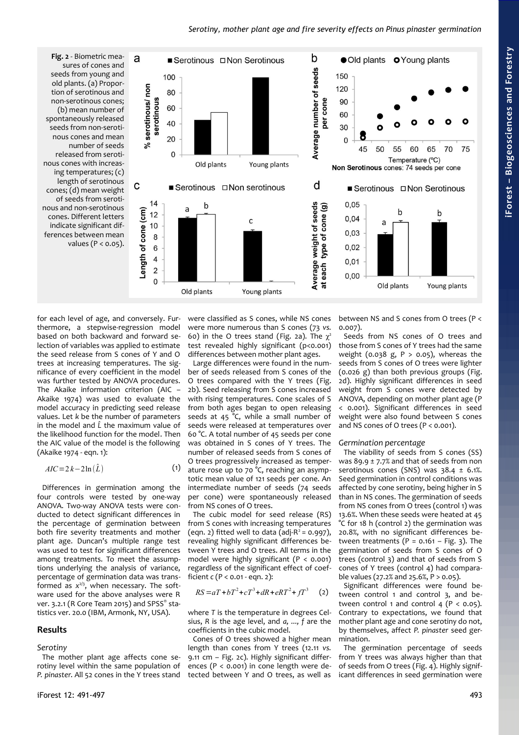<span id="page-2-0"></span>

for each level of age, and conversely. Furthermore, a stepwise-regression model based on both backward and forward selection of variables was applied to estimate the seed release from S cones of Y and O trees at increasing temperatures. The significance of every coefficient in the model was further tested by ANOVA procedures. The Akaike information criterion (AIC – Akaike 1974) was used to evaluate the model accuracy in predicting seed release values. Let *k* be the number of parameters in the model and *L̂* the maximum value of the likelihood function for the model. Then the AIC value of the model is the following (Akaike 1974 - eqn. 1):

$$
AIC = 2k - 2\ln(\hat{L})\tag{1}
$$

Differences in germination among the four controls were tested by one-way ANOVA. Two-way ANOVA tests were conducted to detect significant differences in the percentage of germination between both fire severity treatments and mother plant age. Duncan's multiple range test was used to test for significant differences among treatments. To meet the assumptions underlying the analysis of variance, percentage of germination data was transformed as *x* 2/3, when necessary. The software used for the above analyses were R ver. 3.2.1 (R Core Team 2015) and SPSS® statistics ver. 20.0 (IBM, Armonk, NY, USA).

## **Results**

#### *Serotiny*

The mother plant age affects cone serotiny level within the same population of *P. pinaster*. All 52 cones in the Y trees stand were classified as S cones, while NS cones were more numerous than S cones (73 *vs.* 60) in the O trees stand [\(Fig. 2a](#page-2-0)). The  $\chi^2$ test revealed highly significant (p<0.001) differences between mother plant ages.

Large differences were found in the number of seeds released from S cones of the O trees compared with the Y trees [\(Fig.](#page-2-0) [2b](#page-2-0)). Seed releasing from S cones increased with rising temperatures. Cone scales of S from both ages began to open releasing seeds at 45 °C, while a small number of seeds were released at temperatures over 60 °C. A total number of 45 seeds per cone was obtained in S cones of Y trees. The number of released seeds from S cones of O trees progressively increased as temperature rose up to 70 °C, reaching an asymptotic mean value of 121 seeds per cone. An intermediate number of seeds (74 seeds per cone) were spontaneously released from NS cones of O trees.

The cubic model for seed release (RS) from S cones with increasing temperatures (eqn. 2) fitted well to data (adj- $R^2$  = 0.997), revealing highly significant differences between Y trees and O trees. All terms in the model were highly significant (P < 0.001) regardless of the significant effect of coefficient *c* (P < 0.01 - eqn. 2):

$$
RS = aT + bT^2 + cT^3 + dR + eRT^2 + fT^3 \quad (2)
$$

where *T* is the temperature in degrees Celsius, *R* is the age level, and *a, ..., f* are the coefficients in the cubic model.

Cones of O trees showed a higher mean length than cones from Y trees (12.11 *vs.* 9.11 cm – [Fig. 2c](#page-2-0)). Highly significant differences (P < 0.001) in cone length were detected between Y and O trees, as well as between NS and S cones from O trees (P < 0.007).

Seeds from NS cones of O trees and those from S cones of Y trees had the same weight (0.038 g,  $P > 0.05$ ), whereas the seeds from S cones of O trees were lighter (0.026 g) than both previous groups [\(Fig.](#page-2-0) [2d](#page-2-0)). Highly significant differences in seed weight from S cones were detected by ANOVA, depending on mother plant age (P < 0.001). Significant differences in seed weight were also found between S cones and NS cones of O trees (P < 0.001).

## *Germination percentage*

The viability of seeds from S cones (SS) was 89.9  $\pm$  7.7% and that of seeds from non serotinous cones (SNS) was  $38.4 \pm 6.1\%$ . Seed germination in control conditions was affected by cone serotiny, being higher in S than in NS cones. The germination of seeds from NS cones from O trees (control 1) was 13.6%. When these seeds were heated at 45 °C for 18 h (control 2) the germination was 20.8%, with no significant differences between treatments  $(P = 0.161 - Fig. 3)$  $(P = 0.161 - Fig. 3)$ . The germination of seeds from S cones of O trees (control 3) and that of seeds from S cones of Y trees (control 4) had comparable values (27.2% and 25.6%, P > 0.05).

Significant differences were found between control 1 and control 3, and between control 1 and control 4 ( $P < 0.05$ ). Contrary to expectations, we found that mother plant age and cone serotiny do not, by themselves, affect *P. pinaster* seed germination.

The germination percentage of seeds from Y trees was always higher than that of seeds from O trees [\(Fig. 4\)](#page-3-0). Highly significant differences in seed germination were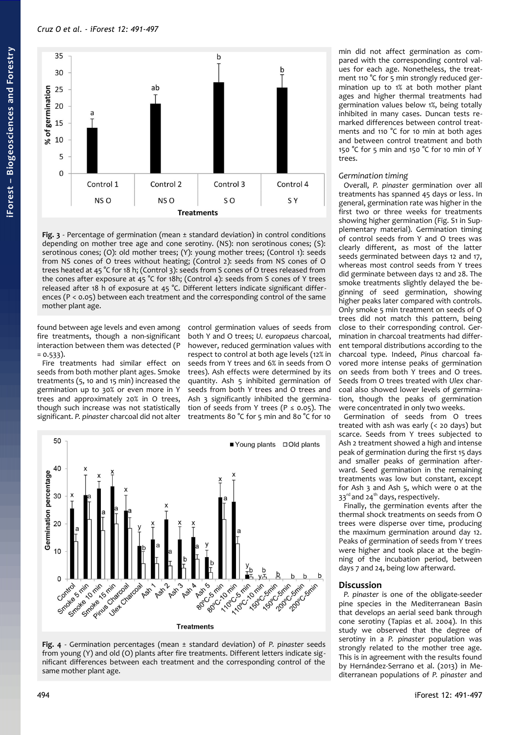## *Cruz O et al. - iForest 12: 491-497*



<span id="page-3-1"></span>**Fig. 3** - Percentage of germination (mean ± standard deviation) in control conditions depending on mother tree age and cone serotiny. (NS): non serotinous cones; (S): serotinous cones; (O): old mother trees; (Y): young mother trees; (Control 1): seeds from NS cones of O trees without heating; (Control 2): seeds from NS cones of O trees heated at 45 °C for 18 h; (Control 3): seeds from S cones of O trees released from the cones after exposure at 45 °C for 18h; (Control 4): seeds from S cones of Y trees released after 18 h of exposure at 45 °C. Different letters indicate significant differences (P < 0.05) between each treatment and the corresponding control of the same mother plant age.

found between age levels and even among fire treatments, though a non-significant interaction between them was detected (P  $= 0.533$ ).

Fire treatments had similar effect on seeds from both mother plant ages. Smoke treatments (5, 10 and 15 min) increased the germination up to 30% or even more in Y trees and approximately 20% in O trees, though such increase was not statistically significant. *P. pinaster* charcoal did not alter control germination values of seeds from both Y and O trees; *U. europaeus* charcoal, however, reduced germination values with respect to control at both age levels (12% in seeds from Y trees and 6% in seeds from O trees). Ash effects were determined by its quantity. Ash 5 inhibited germination of seeds from both Y trees and O trees and Ash 3 significantly inhibited the germination of seeds from Y trees ( $P \le 0.05$ ). The treatments 80 °C for 5 min and 80 °C for 10



<span id="page-3-0"></span>

min did not affect germination as compared with the corresponding control values for each age. Nonetheless, the treatment 110 °C for 5 min strongly reduced germination up to 1% at both mother plant ages and higher thermal treatments had germination values below 1%, being totally inhibited in many cases. Duncan tests remarked differences between control treatments and 110 °C for 10 min at both ages and between control treatment and both 150 °C for 5 min and 150 °C for 10 min of Y trees.

### *Germination timing*

Overall, *P. pinaster* germination over all treatments has spanned 45 days or less. In general, germination rate was higher in the first two or three weeks for treatments showing higher germination (Fig. S1 in Supplementary material). Germination timing of control seeds from Y and O trees was clearly different, as most of the latter seeds germinated between days 12 and 17, whereas most control seeds from Y trees did germinate between days 12 and 28. The smoke treatments slightly delayed the beginning of seed germination, showing higher peaks later compared with controls. Only smoke 5 min treatment on seeds of O trees did not match this pattern, being close to their corresponding control. Germination in charcoal treatments had different temporal distributions according to the charcoal type*.* Indeed, *Pinus* charcoal favored more intense peaks of germination on seeds from both Y trees and O trees. Seeds from O trees treated with *Ulex* charcoal also showed lower levels of germination, though the peaks of germination were concentrated in only two weeks.

Germination of seeds from O trees treated with ash was early (< 20 days) but scarce. Seeds from Y trees subjected to Ash 2 treatment showed a high and intense peak of germination during the first 15 days and smaller peaks of germination afterward. Seed germination in the remaining treatments was low but constant, except for Ash 3 and Ash 5, which were 0 at the 33<sup>rd</sup> and 24<sup>th</sup> days, respectively.

Finally, the germination events after the thermal shock treatments on seeds from O trees were disperse over time, producing the maximum germination around day 12. Peaks of germination of seeds from Y trees were higher and took place at the beginning of the incubation period, between days 7 and 24, being low afterward.

# **Discussion**

*P. pinaster* is one of the obligate-seeder pine species in the Mediterranean Basin that develops an aerial seed bank through cone serotiny (Tapias et al. 2004). In this study we observed that the degree of serotiny in a *P. pinaster* population was strongly related to the mother tree age. This is in agreement with the results found by Hernández-Serrano et al. (2013) in Mediterranean populations of *P. pinaster* and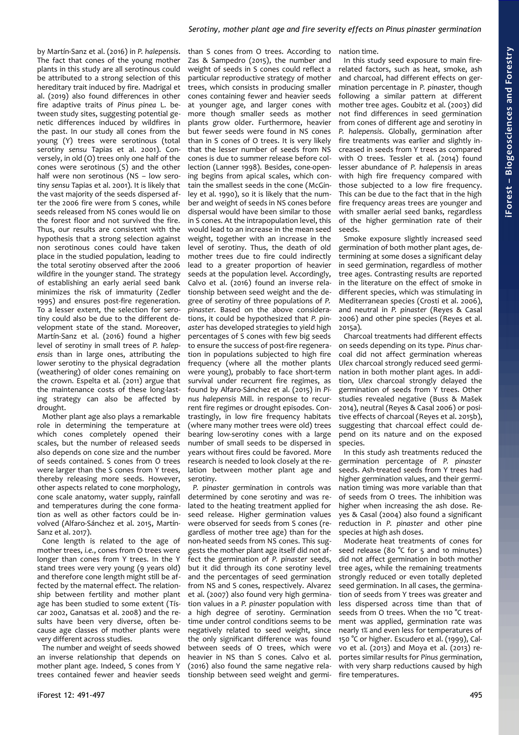by Martín-Sanz et al. (2016) in *P. halepensis*. The fact that cones of the young mother plants in this study are all serotinous could be attributed to a strong selection of this hereditary trait induced by fire. Madrigal et al. (2019) also found differences in other fire adaptive traits of *Pinus pinea* L. between study sites, suggesting potential genetic differences induced by wildfires in the past. In our study all cones from the young (Y) trees were serotinous (total serotiny *sensu* Tapias et al. 2001). Conversely, in old (O) trees only one half of the cones were serotinous (S) and the other half were non serotinous (NS - low serotiny *sensu* Tapias et al. 2001). It is likely that the vast majority of the seeds dispersed after the 2006 fire were from S cones, while seeds released from NS cones would lie on the forest floor and not survived the fire. Thus, our results are consistent with the hypothesis that a strong selection against non serotinous cones could have taken place in the studied population, leading to the total serotiny observed after the 2006 wildfire in the younger stand. The strategy of establishing an early aerial seed bank minimizes the risk of immaturity (Zedler 1995) and ensures post-fire regeneration. To a lesser extent, the selection for serotiny could also be due to the different development state of the stand. Moreover, Martín-Sanz et al. (2016) found a higher level of serotiny in small trees of *P. halepensis* than in large ones, attributing the lower serotiny to the physical degradation (weathering) of older cones remaining on the crown. Espelta et al. (2011) argue that the maintenance costs of these long-lasting strategy can also be affected by drought.

Mother plant age also plays a remarkable role in determining the temperature at which cones completely opened their scales, but the number of released seeds also depends on cone size and the number of seeds contained. S cones from O trees were larger than the S cones from Y trees, thereby releasing more seeds. However, other aspects related to cone morphology, cone scale anatomy, water supply, rainfall and temperatures during the cone formation as well as other factors could be involved (Alfaro-Sánchez et al. 2015, Martín-Sanz et al.  $2017$ 

Cone length is related to the age of mother trees, *i.e.*, cones from O trees were longer than cones from Y trees. In the Y stand trees were very young (9 years old) and therefore cone length might still be affected by the maternal effect. The relationship between fertility and mother plant age has been studied to some extent (Tíscar 2002, Ganatsas et al. 2008) and the results have been very diverse, often because age classes of mother plants were very different across studies.

The number and weight of seeds showed an inverse relationship that depends on mother plant age. Indeed, S cones from Y trees contained fewer and heavier seeds than S cones from O trees. According to Zas & Sampedro (2015), the number and weight of seeds in S cones could reflect a particular reproductive strategy of mother trees, which consists in producing smaller cones containing fewer and heavier seeds at younger age, and larger cones with more though smaller seeds as mother plants grow older. Furthermore, heavier but fewer seeds were found in NS cones than in S cones of O trees. It is very likely that the lesser number of seeds from NS cones is due to summer release before collection (Lanner 1998). Besides, cone-opening begins from apical scales, which contain the smallest seeds in the cone (McGinley et al. 1990), so it is likely that the number and weight of seeds in NS cones before dispersal would have been similar to those in S cones. At the intrapopulation level, this would lead to an increase in the mean seed weight, together with an increase in the level of serotiny. Thus, the death of old mother trees due to fire could indirectly lead to a greater proportion of heavier seeds at the population level. Accordingly, Calvo et al. (2016) found an inverse relationship between seed weight and the degree of serotiny of three populations of *P. pinaster*. Based on the above considerations, it could be hypothesized that *P. pinaster* has developed strategies to yield high percentages of S cones with few big seeds to ensure the success of post-fire regeneration in populations subjected to high fire frequency (where all the mother plants were young), probably to face short-term survival under recurrent fire regimes, as found by Alfaro-Sánchez et al. (2015) in *Pinus halepensis* Mill. in response to recurrent fire regimes or drought episodes. Contrastingly, in low fire frequency habitats (where many mother trees were old) trees bearing low-serotiny cones with a large number of small seeds to be dispersed in years without fires could be favored. More research is needed to look closely at the relation between mother plant age and serotiny.

*P. pinaster* germination in controls was determined by cone serotiny and was related to the heating treatment applied for seed release. Higher germination values were observed for seeds from S cones (regardless of mother tree age) than for the non-heated seeds from NS cones. This suggests the mother plant age itself did not affect the germination of *P. pinaster* seeds, but it did through its cone serotiny level and the percentages of seed germination from NS and S cones, respectively. Alvarez et al. (2007) also found very high germination values in a *P. pinaster* population with a high degree of serotiny. Germination time under control conditions seems to be negatively related to seed weight, since the only significant difference was found between seeds of O trees, which were heavier in NS than S cones. Calvo et al. (2016) also found the same negative relationship between seed weight and germi-

nation time.

In this study seed exposure to main firerelated factors, such as heat, smoke, ash and charcoal, had different effects on germination percentage in *P. pinaster*, though following a similar pattern at different mother tree ages. Goubitz et al. (2003) did not find differences in seed germination from cones of different age and serotiny in *P. halepensis*. Globally, germination after fire treatments was earlier and slightly increased in seeds from Y trees as compared with O trees. Tessler et al. (2014) found lesser abundance of *P. halepensis* in areas with high fire frequency compared with those subjected to a low fire frequency. This can be due to the fact that in the high fire frequency areas trees are younger and with smaller aerial seed banks, regardless of the higher germination rate of their seeds.

Smoke exposure slightly increased seed germination of both mother plant ages, determining at some doses a significant delay in seed germination, regardless of mother tree ages. Contrasting results are reported in the literature on the effect of smoke in different species, which was stimulating in Mediterranean species (Crosti et al. 2006), and neutral in *P. pinaster* (Reyes & Casal 2006) and other pine species (Reyes et al. 2015a).

Charcoal treatments had different effects on seeds depending on its type. *Pinus* charcoal did not affect germination whereas *Ulex* charcoal strongly reduced seed germination in both mother plant ages. In addition, *Ulex* charcoal strongly delayed the germination of seeds from Y trees. Other studies revealed negative (Buss & Mašek 2014), neutral (Reyes & Casal 2006) or positive effects of charcoal (Reyes et al. 2015b), suggesting that charcoal effect could depend on its nature and on the exposed species.

In this study ash treatments reduced the germination percentage of *P. pinaster* seeds. Ash-treated seeds from Y trees had higher germination values, and their germination timing was more variable than that of seeds from O trees. The inhibition was higher when increasing the ash dose. Reyes & Casal (2004) also found a significant reduction in *P. pinaster* and other pine species at high ash doses.

Moderate heat treatments of cones for seed release (80  $°C$  for 5 and 10 minutes) did not affect germination in both mother tree ages, while the remaining treatments strongly reduced or even totally depleted seed germination. In all cases, the germination of seeds from Y trees was greater and less dispersed across time than that of seeds from O trees. When the 110 °C treatment was applied, germination rate was nearly 1% and even less for temperatures of 150 °C or higher. Escudero et al. (1999), Calvo et al. (2013) and Moya et al. (2013) reportes similar results for *Pinus* germination, with very sharp reductions caused by high fire temperatures.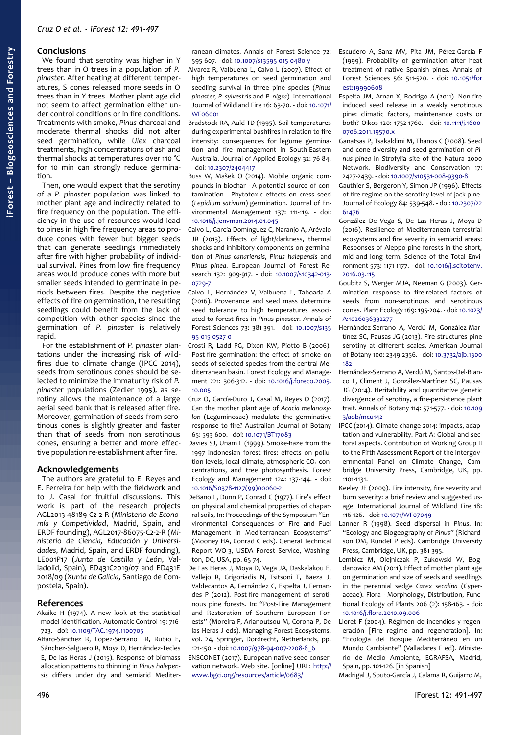# **Conclusions**

We found that serotiny was higher in Y trees than in O trees in a population of *P. pinaster*. After heating at different temperatures, S cones released more seeds in O trees than in Y trees. Mother plant age did not seem to affect germination either under control conditions or in fire conditions. Treatments with smoke, *Pinus* charcoal and moderate thermal shocks did not alter seed germination, while *Ulex* charcoal treatments, high concentrations of ash and thermal shocks at temperatures over 110 °C for 10 min can strongly reduce germination.

Then, one would expect that the serotiny of a *P. pinaster* population was linked to mother plant age and indirectly related to fire frequency on the population. The efficiency in the use of resources would lead to pines in high fire frequency areas to produce cones with fewer but bigger seeds that can generate seedlings immediately after fire with higher probability of individual survival. Pines from low fire frequency areas would produce cones with more but smaller seeds intended to germinate in periods between fires. Despite the negative effects of fire on germination, the resulting seedlings could benefit from the lack of competition with other species since the germination of *P. pinaster* is relatively rapid.

For the establishment of *P. pinaster* plantations under the increasing risk of wildfires due to climate change (IPCC 2014), seeds from serotinous cones should be selected to minimize the immaturity risk of *P. pinaster* populations (Zedler 1995), as serotiny allows the maintenance of a large aerial seed bank that is released after fire. Moreover, germination of seeds from serotinous cones is slightly greater and faster than that of seeds from non serotinous cones, ensuring a better and more effective population re-establishment after fire.

### **Acknowledgements**

The authors are grateful to E. Reyes and E. Ferreira for help with the fieldwork and to J. Casal for fruitful discussions. This work is part of the research projects AGL2013-48189-C2-2-R (*Ministerio de Economía y Competividad*, Madrid, Spain, and ERDF founding), AGL2017-86075-C2-2-R (*Ministerio de Ciencia, Educación y Universidades*, Madrid, Spain, and ERDF founding), LE001P17 (*Junta de Castilla y León*, Valladolid, Spain), ED431C2019/07 and ED431E 2018/09 (*Xunta de Galicia*, Santiago de Compostela, Spain).

### **References**

- Akaike H (1974). A new look at the statistical model identification. Automatic Control 19: 716- 723. - doi: [10.1109/TAC.1974.1100705](https://doi.org/10.1109/TAC.1974.1100705)
- Alfaro-Sánchez R, López-Serrano FR, Rubio E, Sánchez-Salguero R, Moya D, Hernández-Tecles E, De las Heras J (2015). Response of biomass allocation patterns to thinning in *Pinus halepensis* differs under dry and semiarid Mediter-

595-607. - doi: [10.1007/s13595-015-0480-y](https://doi.org/10.1007/s13595-015-0480-y)

Alvarez R, Valbuena L, Calvo L (2007). Effect of high temperatures on seed germination and seedling survival in three pine species (*Pinus pinaster, P. sylvestris* and *P. nigra*). International Journal of Wildland Fire 16: 63-70. - doi: [10.1071/](https://doi.org/10.1071/WF06001) [WF06001](https://doi.org/10.1071/WF06001)

Bradstock RA, Auld TD (1995). Soil temperatures during experimental bushfires in relation to fire intensity: consequences for legume germination and fire management in South-Eastern Australia. Journal of Applied Ecology 32: 76-84. - doi: [10.2307/2404417](https://doi.org/10.2307/2404417)

Buss W, Mašek O (2014). Mobile organic compounds in biochar - A potential source of contamination - Phytotoxic effects on cress seed (*Lepidium sativum*) germination. Journal of Environmental Management 137: 111-119. - doi: [10.1016/j.jenvman.2014.01.045](https://doi.org/10.1016/j.jenvman.2014.01.045)

Calvo L, García-Domínguez C, Naranjo A, Arévalo JR (2013). Effects of light/darkness, thermal shocks and inhibitory components on germination of *Pinus canariensis*, *Pinus halepensis* and *Pinus pinea*. European Journal of Forest Research 132: 909-917. - doi: [10.1007/s10342-013-](https://doi.org/10.1007/s10342-013-0729-7) [0729-7](https://doi.org/10.1007/s10342-013-0729-7)

Calvo L, Hernández V, Valbuena L, Taboada A (2016). Provenance and seed mass determine seed tolerance to high temperatures associated to forest fires in *Pinus pinaster*. Annals of Forest Sciences 73: 381-391. - doi: [10.1007/s135](https://doi.org/10.1007/s13595-015-0527-0) [95-015-0527-0](https://doi.org/10.1007/s13595-015-0527-0)

Crosti R, Ladd PG, Dixon KW, Piotto B (2006). Post-fire germination: the effect of smoke on seeds of selected species from the central Mediterranean basin. Forest Ecology and Management 221: 306-312. - doi: [10.1016/j.foreco.2005.](https://doi.org/10.1016/j.foreco.2005.10.005) [10.005](https://doi.org/10.1016/j.foreco.2005.10.005)

- Cruz O, García-Duro J, Casal M, Reyes O (2017). Can the mother plant age of *Acacia melanoxylon* (Leguminosae) modulate the germinative response to fire? Australian Journal of Botany 65: 593-600. - doi: [10.1071/BT17083](https://doi.org/10.1071/BT17083)
- Davies SJ, Unam L (1999). Smoke-haze from the 1997 Indonesian forest fires: effects on pollution levels, local climate, atmospheric CO<sub>2</sub> concentrations, and tree photosynthesis. Forest Ecology and Management 124: 137-144. - doi: [10.1016/S0378-1127\(99\)00060-2](https://doi.org/10.1016/S0378-1127(99)00060-2)
- DeBano L, Dunn P, Conrad C (1977). Fire's effect on physical and chemical properties of chaparral soils, In: Proceedings of the Symposium "Environmental Consequences of Fire and Fuel Management in Mediterranean Ecosystems" (Mooney HA, Conrad C eds). General Technical Report WO-3, USDA Forest Service, Washington, DC, USA, pp. 65-74.
- De Las Heras J, Moya D, Vega JA, Daskalakou E, Vallejo R, Grigoriadis N, Tsitsoni T, Baeza J, Valdecantos A, Fernández C, Espelta J, Fernandes P (2012). Post-fire management of serotinous pine forests. In: "Post-Fire Management and Restoration of Southern European Forests" (Moreira F, Arianoutsou M, Corona P, De las Heras J eds). Managing Forest Ecosystems, vol. 24, Springer, Dordrecht, Netherlands, pp. 121-150. - doi: [10.1007/978-94-007-2208-8\\_6](https://doi.org/10.1007/978-94-007-2208-8_6)

ENSCONET (2017). European native seed conservation network. Web site. [online] URL: [http://](http://www.bgci.org/resources/article/0683/) [www.bgci.org/resources/article/0683/](http://www.bgci.org/resources/article/0683/)

ranean climates. Annals of Forest Science 72: Escudero A, Sanz MV, Pita JM, Pérez-García F (1999). Probability of germination after heat treatment of native Spanish pines. Annals of Forest Sciences 56: 511-520. - doi: [10.1051/for](https://doi.org/10.1051/forest:19990608) [est:19990608](https://doi.org/10.1051/forest:19990608)

Espelta JM, Arnan X, Rodrigo A (2011). Non-fire induced seed release in a weakly serotinous pine: climatic factors, maintenance costs or both? Oikos 120: 1752-1760. - doi: [10.1111/j.1600-](https://doi.org/10.1111/j.1600-0706.2011.19570.x) [0706.2011.19570.x](https://doi.org/10.1111/j.1600-0706.2011.19570.x)

- Ganatsas P, Tsakaldimi M, Thanos C (2008). Seed and cone diversity and seed germination of *Pinus pinea* in Strofylia site of the Natura 2000 Network. Biodiversity and Conservation 17: 2427-2439. - doi: [10.1007/s10531-008-9390-8](https://doi.org/10.1007/s10531-008-9390-8)
- Gauthier S, Bergeron Y, Simon JP (1996). Effects of fire regime on the serotiny level of jack pine. Journal of Ecology 84: 539-548. - doi: [10.2307/22](https://doi.org/10.2307/2261476) [61476](https://doi.org/10.2307/2261476)
- González De Vega S, De Las Heras J, Moya D (2016). Resilience of Mediterranean terrestrial ecosystems and fire severity in semiarid areas: Responses of Aleppo pine forests in the short, mid and long term. Science of the Total Environment 573: 1171-1177. - doi: [10.1016/j.scitotenv.](https://doi.org/10.1016/j.scitotenv.2016.03.115) [2016.03.115](https://doi.org/10.1016/j.scitotenv.2016.03.115)
- Goubitz S, Werger MJA, Neeman G (2003). Germination response to fire-related factors of seeds from non-serotinous and serotinous cones. Plant Ecology 169: 195-204. - doi: [10.1023/](https://doi.org/10.1023/A:1026036332277) [A:1026036332277](https://doi.org/10.1023/A:1026036332277)
- Hernández-Serrano A, Verdú M, González-Martínez SC, Pausas JG (2013). Fire structures pine serotiny at different scales. American Journal of Botany 100: 2349-2356. - doi: [10.3732/ajb.1300](https://doi.org/10.3732/ajb.1300182) [182](https://doi.org/10.3732/ajb.1300182)
- Hernández-Serrano A, Verdú M, Santos-Del-Blanco L, Climent J, González-Martínez SC, Pausas JG (2014). Heritability and quantitative genetic divergence of serotiny, a fire-persistence plant trait. Annals of Botany 114: 571-577. - doi: [10.109](https://doi.org/10.1093/aob/mcu142)  $3/20h/mc$  $1142$
- IPCC (2014). Climate change 2014: impacts, adaptation and vulnerability. Part A: Global and sectoral aspects. Contribution of Working Group II to the Fifth Assessment Report of the Intergovernmental Panel on Climate Change, Cambridge University Press, Cambridge, UK, pp. 1101-1131.
- Keeley JE (2009). Fire intensity, fire severity and burn severity: a brief review and suggested usage. International Journal of Wildland Fire 18: 116-126. - doi: [10.1071/WF07049](https://doi.org/10.1071/WF07049)
- Lanner R (1998). Seed dispersal in *Pinus*. In: "Ecology and Biogeography of *Pinus*" (Richardson DM, Rundel P eds). Cambridge University Press, Cambridge, UK, pp. 381-395.
- Lembicz M, Olejniczak P, Zukowski W, Bogdanowicz AM (2011). Effect of mother plant age on germination and size of seeds and seedlings in the perennial sedge *Carex secalina* (Cyperaceae). Flora - Morphology, Distribution, Functional Ecology of Plants 206 (2): 158-163. - doi: [10.1016/j.flora.2010.09.006](https://doi.org/10.1016/j.flora.2010.09.006)
- Lloret F (2004). Régimen de incendios y regeneración [Fire regime and regeneration]. In: "Ecología del Bosque Mediterráneo en un Mundo Cambiante" (Valladares F ed). Ministerio de Medio Ambiente, EGRAFSA, Madrid, Spain, pp. 101-126. [in Spanish]

Madrigal J, Souto-García J, Calama R, Guijarro M,